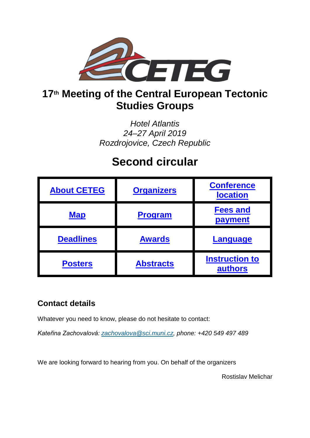

## **17th Meeting of the Central European Tectonic Studies Groups**

*Hotel Atlantis 24–27 April 2019 Rozdrojovice, Czech Republic*

# **Second circular**

| <b>About CETEG</b> | <b>Organizers</b> | <b>Conference</b><br><b>location</b> |
|--------------------|-------------------|--------------------------------------|
| <b>Map</b>         | <b>Program</b>    | <b>Fees and</b><br>payment           |
| <b>Deadlines</b>   | <b>Awards</b>     | <b>Language</b>                      |
| <b>Posters</b>     | <b>Abstracts</b>  | <b>Instruction to</b><br>authors     |

### **Contact details**

Whatever you need to know, please do not hesitate to contact:

*Kateřina Zachovalová: [zachovalova@sci.muni.cz,](mailto:zachovalova@sci.muni.cz) phone: +420 549 497 489*

We are looking forward to hearing from you. On behalf of the organizers

<span id="page-0-0"></span>Rostislav Melichar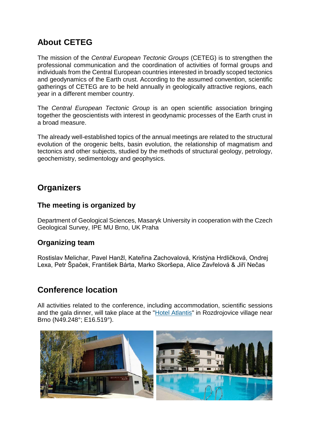### **About CETEG**

The mission of the *Central European Tectonic Groups* (CETEG) is to strengthen the professional communication and the coordination of activities of formal groups and individuals from the Central European countries interested in broadly scoped tectonics and geodynamics of the Earth crust. According to the assumed convention, scientific gatherings of CETEG are to be held annually in geologically attractive regions, each year in a different member country.

The *Central European Tectonic Group* is an open scientific association bringing together the geoscientists with interest in geodynamic processes of the Earth crust in a broad measure.

The already well-established topics of the annual meetings are related to the structural evolution of the orogenic belts, basin evolution, the relationship of magmatism and tectonics and other subjects, studied by the methods of structural geology, petrology, geochemistry, sedimentology and geophysics.

#### <span id="page-1-0"></span>**Organizers**

#### **The meeting is organized by**

Department of Geological Sciences, Masaryk University in cooperation with the Czech Geological Survey, IPE MU Brno, UK Praha

#### **Organizing team**

Rostislav Melichar, Pavel Hanžl, Kateřina Zachovalová, Kristýna Hrdličková, Ondrej Lexa, Petr Špaček, František Bárta, Marko Skoršepa, Alice Zavřelová & Jiří Nečas

### <span id="page-1-1"></span>**Conference location**

All activities related to the conference, including accommodation, scientific sessions and the gala dinner, will take place at the ["Hotel Atlantis"](https://www.hotel-atlantis.cz/) in Rozdrojovice village near Brno (N49.248°; E16.519°).

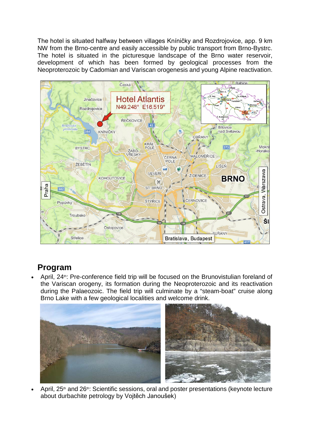The hotel is situated halfway between villages Kníničky and Rozdrojovice, app. 9 km NW from the Brno-centre and easily accessible by public transport from Brno-Bystrc. The hotel is situated in the picturesque landscape of the Brno water reservoir, development of which has been formed by geological processes from the Neoproterozoic by Cadomian and Variscan orogenesis and young Alpine reactivation.

<span id="page-2-0"></span>

### <span id="page-2-1"></span>**Program**

April, 24<sup>th</sup>: Pre-conference field trip will be focused on the Brunovistulian foreland of the Variscan orogeny, its formation during the Neoproterozoic and its reactivation during the Palaeozoic. The field trip will culminate by a "steam-boat" cruise along Brno Lake with a few geological localities and welcome drink.



April, 25<sup>th</sup> and 26<sup>th</sup>: Scientific sessions, oral and poster presentations (keynote lecture about durbachite petrology by Vojtěch Janoušek)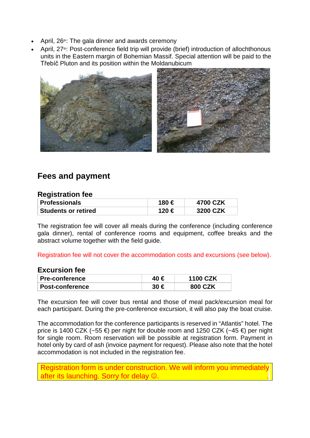- April,  $26$ <sup>th</sup>: The gala dinner and awards ceremony
- April, 27<sup>th</sup>: Post-conference field trip will provide (brief) introduction of allochthonous units in the Eastern margin of Bohemian Massif. Special attention will be paid to the Třebíč Pluton and its position within the Moldanubicum



### <span id="page-3-0"></span>**Fees and payment**

#### **Registration fee**

| <b>Professionals</b> | 180 € | 4700 CZK |
|----------------------|-------|----------|
| ⊦Students or retired | 120 € | 3200 CZK |

The registration fee will cover all meals during the conference (including conference gala dinner), rental of conference rooms and equipment, coffee breaks and the abstract volume together with the field guide.

Registration fee will not cover the accommodation costs and excursions (see below).

#### **Excursion fee**

| <b>Pre-conference</b>        | <b>1100 CZK</b> |
|------------------------------|-----------------|
| <sup>⊦</sup> Post-conference | 800 CZK         |

The excursion fee will cover bus rental and those of meal pack/excursion meal for each participant. During the pre-conference excursion, it will also pay the boat cruise.

The accommodation for the conference participants is reserved in "Atlantis" hotel. The price is 1400 CZK (~55  $\epsilon$ ) per night for double room and 1250 CZK (~45  $\epsilon$ ) per night for single room. Room reservation will be possible at registration form. Payment in hotel only by card of ash (invoice payment for request). Please also note that the hotel accommodation is not included in the registration fee.

<span id="page-3-1"></span>Registration form is under construction. We will inform you immediately after its launching. Sorry for delay  $\odot$ .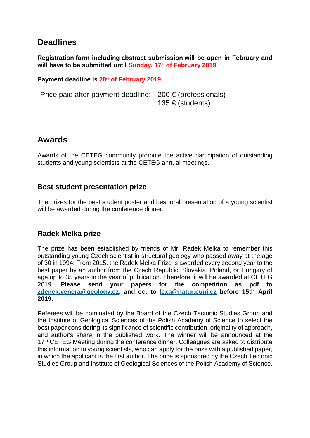### **Deadlines**

**Registration form including abstract submission will be open in February and**  will have to be submitted until Sunday, 17<sup>th</sup> of February 2019.

#### **Payment deadline is 28th of February 2019**

Price paid after payment deadline:  $200 \in (professionals)$ 135 € (students)

#### <span id="page-4-0"></span>**Awards**

Awards of the CETEG community promote the active participation of outstanding students and young scientists at the CETEG annual meetings.

#### **Best student presentation prize**

The prizes for the best student poster and best oral presentation of a young scientist will be awarded during the conference dinner.

#### **Radek Melka prize**

The prize has been established by friends of Mr. Radek Melka to remember this outstanding young Czech scientist in structural geology who passed away at the age of 30 in 1994. From 2015, the Radek Melka Prize is awarded every second year to the best paper by an author from the Czech Republic, Slovakia, Poland, or Hungary of age up to 35 years in the year of publication. Therefore, it will be awarded at CETEG 2019. **Please send your papers for the competition as pdf to [zdenek.venera@geology.cz,](mailto:zdenek.venera@geology.cz) and cc: to [lexa@natur.cuni.cz](mailto:lexa@natur.cuni.cz) before 15th April 2019.**

Referees will be nominated by the Board of the Czech Tectonic Studies Group and the Institute of Geological Sciences of the Polish Academy of Science to select the best paper considering its significance of scientific contribution, originality of approach, and author's share in the published work. The winner will be announced at the 17<sup>th</sup> CETEG Meeting during the conference dinner. Colleagues are asked to distribute this information to young scientists, who can apply for the prize with a published paper, in which the applicant is the first author. The prize is sponsored by the Czech Tectonic Studies Group and Institute of Geological Sciences of the Polish Academy of Science.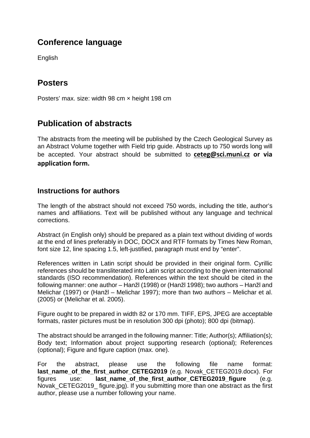### <span id="page-5-0"></span>**Conference language**

English

### <span id="page-5-1"></span>**Posters**

Posters' max. size: width 98 cm × height 198 cm

### <span id="page-5-2"></span>**Publication of abstracts**

The abstracts from the meeting will be published by the Czech Geological Survey as an Abstract Volume together with Field trip guide. Abstracts up to 750 words long will be accepted. Your abstract should be submitted to **[ceteg@sci.muni.cz](mailto:ceteg@sci.muni.cz) or via application form.**

#### <span id="page-5-3"></span>**Instructions for authors**

The length of the abstract should not exceed 750 words, including the title, author's names and affiliations. Text will be published without any language and technical corrections.

Abstract (in English only) should be prepared as a plain text without dividing of words at the end of lines preferably in DOC, DOCX and RTF formats by Times New Roman, font size 12, line spacing 1.5, left-justified, paragraph must end by "enter".

References written in Latin script should be provided in their original form. Cyrillic references should be transliterated into Latin script according to the given international standards (ISO recommendation). References within the text should be cited in the following manner: one author – Hanžl (1998) or (Hanžl 1998); two authors – Hanžl and Melichar (1997) or (Hanžl – Melichar 1997); more than two authors – Melichar et al. (2005) or (Melichar et al. 2005).

Figure ought to be prepared in width 82 or 170 mm. TIFF, EPS, JPEG are acceptable formats, raster pictures must be in resolution 300 dpi (photo); 800 dpi (bitmap).

The abstract should be arranged in the following manner: Title; Author(s); Affiliation(s); Body text; Information about project supporting research (optional); References (optional); Figure and figure caption (max. one).

For the abstract, please use the following file name format: **last\_name\_of\_the\_first\_author\_CETEG2019** (e.g. Novak\_CETEG2019.docx). For figures use: **last\_name\_of\_the\_first\_author\_CETEG2019\_figure** (e.g. Novak CETEG2019 figure.jpg). If you submitting more than one abstract as the first author, please use a number following your name.